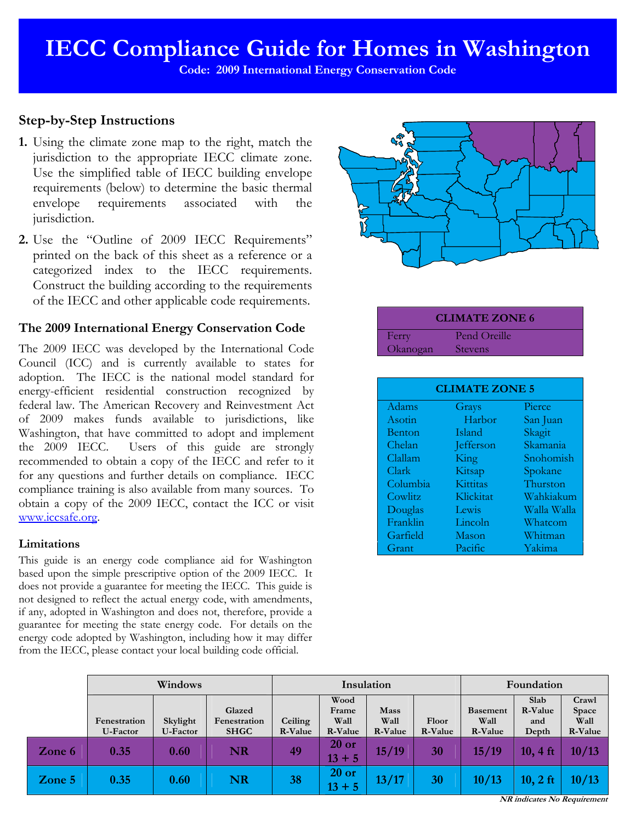**Code: 2009 International Energy Conservation Code** 

# **Step-by-Step Instructions**

- **1.** Using the climate zone map to the right, match the jurisdiction to the appropriate IECC climate zone. Use the simplified table of IECC building envelope requirements (below) to determine the basic thermal envelope requirements associated with the jurisdiction.
- **2.** Use the "Outline of 2009 IECC Requirements" printed on the back of this sheet as a reference or a categorized index to the IECC requirements. Construct the building according to the requirements of the IECC and other applicable code requirements.

# **The 2009 International Energy Conservation Code**

The 2009 IECC was developed by the International Code Council (ICC) and is currently available to states for adoption. The IECC is the national model standard for energy-efficient residential construction recognized by federal law. The American Recovery and Reinvestment Act of 2009 makes funds available to jurisdictions, like Washington, that have committed to adopt and implement the 2009 IECC. Users of this guide are strongly recommended to obtain a copy of the IECC and refer to it for any questions and further details on compliance. IECC compliance training is also available from many sources. To obtain a copy of the 2009 IECC, contact the ICC or visit www.iccsafe.org.

# **Limitations**

This guide is an energy code compliance aid for Washington based upon the simple prescriptive option of the 2009 IECC. It does not provide a guarantee for meeting the IECC. This guide is not designed to reflect the actual energy code, with amendments, if any, adopted in Washington and does not, therefore, provide a guarantee for meeting the state energy code. For details on the energy code adopted by Washington, including how it may differ from the IECC, please contact your local building code official.



| Pend Oreille<br>Ferry      |  |
|----------------------------|--|
| Okanogan<br><b>Stevens</b> |  |

| <b>CLIMATE ZONE 5</b> |           |             |  |  |  |  |  |
|-----------------------|-----------|-------------|--|--|--|--|--|
| Adams                 | Grays     | Pierce      |  |  |  |  |  |
| Asotin                | Harbor    | San Juan    |  |  |  |  |  |
| <b>Benton</b>         | Island    | Skagit      |  |  |  |  |  |
| Chelan                | Jefferson | Skamania    |  |  |  |  |  |
| Clallam               | King      | Snohomish   |  |  |  |  |  |
| Clark                 | Kitsap    | Spokane     |  |  |  |  |  |
| Columbia              | Kittitas  | Thurston    |  |  |  |  |  |
| Cowlitz               | Klickitat | Wahkiakum   |  |  |  |  |  |
| Douglas               | Lewis     | Walla Walla |  |  |  |  |  |
| Franklin              | Lincoln   | Whatcom     |  |  |  |  |  |
| Garfield              | Mason     | Whitman     |  |  |  |  |  |
| Grant                 | Pacific   | Yakima      |  |  |  |  |  |

|        | Windows                  |                      |                                       | Insulation         |                                  |                         |                  | Foundation                         |                                 |                                   |
|--------|--------------------------|----------------------|---------------------------------------|--------------------|----------------------------------|-------------------------|------------------|------------------------------------|---------------------------------|-----------------------------------|
|        | Fenestration<br>U-Factor | Skylight<br>U-Factor | Glazed<br>Fenestration<br><b>SHGC</b> | Ceiling<br>R-Value | Wood<br>Frame<br>Wall<br>R-Value | Mass<br>Wall<br>R-Value | Floor<br>R-Value | <b>Basement</b><br>Wall<br>R-Value | Slab<br>R-Value<br>and<br>Depth | Crawl<br>Space<br>Wall<br>R-Value |
| Zone 6 | 0.35                     | 0.60                 | <b>NR</b>                             | 49                 | $20$ or<br>$13 + 5$              | 15/19                   | 30               | 15/19                              | $10, 4$ ft                      | 10/13                             |
| Zone 5 | 0.35                     | 0.60                 | <b>NR</b>                             | 38                 | $20$ or<br>$13 + 5$              | 13/17                   | 30               | 10/13                              | $10, 2$ ft                      | 10/13                             |

**NR indicates No Requirement**